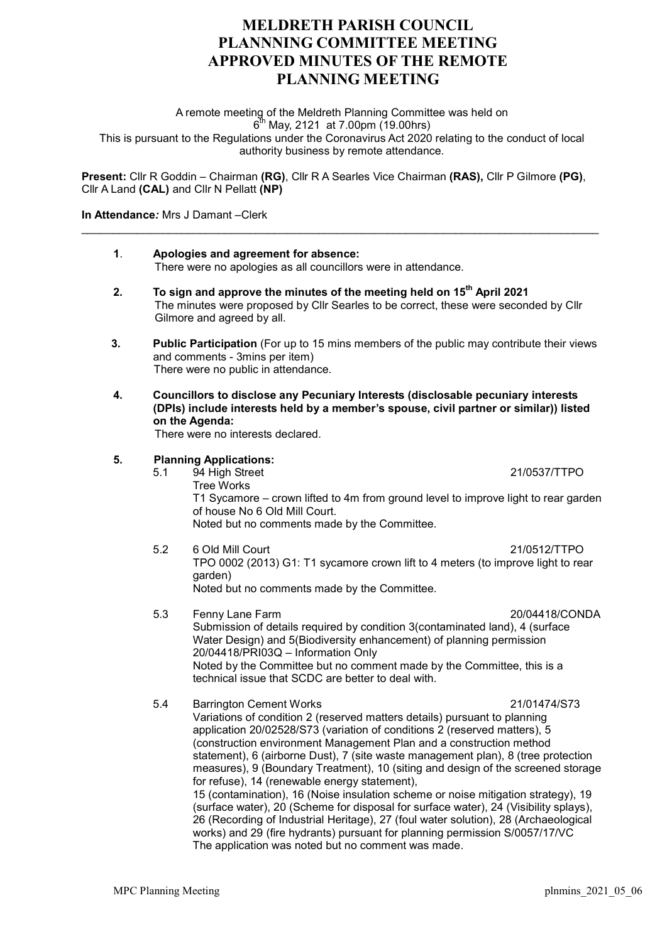## MELDRETH PARISH COUNCIL PLANNNING COMMITTEE MEETING APPROVED MINUTES OF THE REMOTE PLANNING MEETING

A remote meeting of the Meldreth Planning Committee was held on  $6^{\text{th}}$  May, 2121 at 7.00pm (19.00hrs) This is pursuant to the Regulations under the Coronavirus Act 2020 relating to the conduct of local authority business by remote attendance.

Present: Cllr R Goddin – Chairman (RG), Cllr R A Searles Vice Chairman (RAS), Cllr P Gilmore (PG), Cllr A Land (CAL) and Cllr N Pellatt (NP)

## In Attendance: Mrs J Damant –Clerk

| 1. | Apologies and agreement for absence:<br>There were no apologies as all councillors were in attendance.                                                                                                                           |                                                                                                                                                                                                                                                                                                                                                                                                                                                                                                                                                                                                                                                                                                                                                                                                                                                              |
|----|----------------------------------------------------------------------------------------------------------------------------------------------------------------------------------------------------------------------------------|--------------------------------------------------------------------------------------------------------------------------------------------------------------------------------------------------------------------------------------------------------------------------------------------------------------------------------------------------------------------------------------------------------------------------------------------------------------------------------------------------------------------------------------------------------------------------------------------------------------------------------------------------------------------------------------------------------------------------------------------------------------------------------------------------------------------------------------------------------------|
| 2. | To sign and approve the minutes of the meeting held on 15 <sup>th</sup> April 2021<br>The minutes were proposed by Cllr Searles to be correct, these were seconded by Cllr<br>Gilmore and agreed by all.                         |                                                                                                                                                                                                                                                                                                                                                                                                                                                                                                                                                                                                                                                                                                                                                                                                                                                              |
| 3. | <b>Public Participation</b> (For up to 15 mins members of the public may contribute their views<br>and comments - 3mins per item)<br>There were no public in attendance.                                                         |                                                                                                                                                                                                                                                                                                                                                                                                                                                                                                                                                                                                                                                                                                                                                                                                                                                              |
| 4. | Councillors to disclose any Pecuniary Interests (disclosable pecuniary interests<br>(DPIs) include interests held by a member's spouse, civil partner or similar)) listed<br>on the Agenda:<br>There were no interests declared. |                                                                                                                                                                                                                                                                                                                                                                                                                                                                                                                                                                                                                                                                                                                                                                                                                                                              |
| 5. | 5.1                                                                                                                                                                                                                              | <b>Planning Applications:</b><br>94 High Street<br>21/0537/TTPO<br><b>Tree Works</b><br>T1 Sycamore – crown lifted to 4m from ground level to improve light to rear garden<br>of house No 6 Old Mill Court.<br>Noted but no comments made by the Committee.                                                                                                                                                                                                                                                                                                                                                                                                                                                                                                                                                                                                  |
|    | 5.2                                                                                                                                                                                                                              | 6 Old Mill Court<br>21/0512/TTPO<br>TPO 0002 (2013) G1: T1 sycamore crown lift to 4 meters (to improve light to rear<br>garden)<br>Noted but no comments made by the Committee.                                                                                                                                                                                                                                                                                                                                                                                                                                                                                                                                                                                                                                                                              |
|    | 5.3                                                                                                                                                                                                                              | 20/04418/CONDA<br>Fenny Lane Farm<br>Submission of details required by condition 3(contaminated land), 4 (surface<br>Water Design) and 5(Biodiversity enhancement) of planning permission<br>20/04418/PRI03Q - Information Only<br>Noted by the Committee but no comment made by the Committee, this is a<br>technical issue that SCDC are better to deal with.                                                                                                                                                                                                                                                                                                                                                                                                                                                                                              |
|    | 5.4                                                                                                                                                                                                                              | <b>Barrington Cement Works</b><br>21/01474/S73<br>Variations of condition 2 (reserved matters details) pursuant to planning<br>application 20/02528/S73 (variation of conditions 2 (reserved matters), 5<br>(construction environment Management Plan and a construction method<br>statement), 6 (airborne Dust), 7 (site waste management plan), 8 (tree protection<br>measures), 9 (Boundary Treatment), 10 (siting and design of the screened storage<br>for refuse), 14 (renewable energy statement),<br>15 (contamination), 16 (Noise insulation scheme or noise mitigation strategy), 19<br>(surface water), 20 (Scheme for disposal for surface water), 24 (Visibility splays),<br>26 (Recording of Industrial Heritage), 27 (foul water solution), 28 (Archaeological<br>works) and 29 (fire hydrants) pursuant for planning permission S/0057/17/VC |

The application was noted but no comment was made.